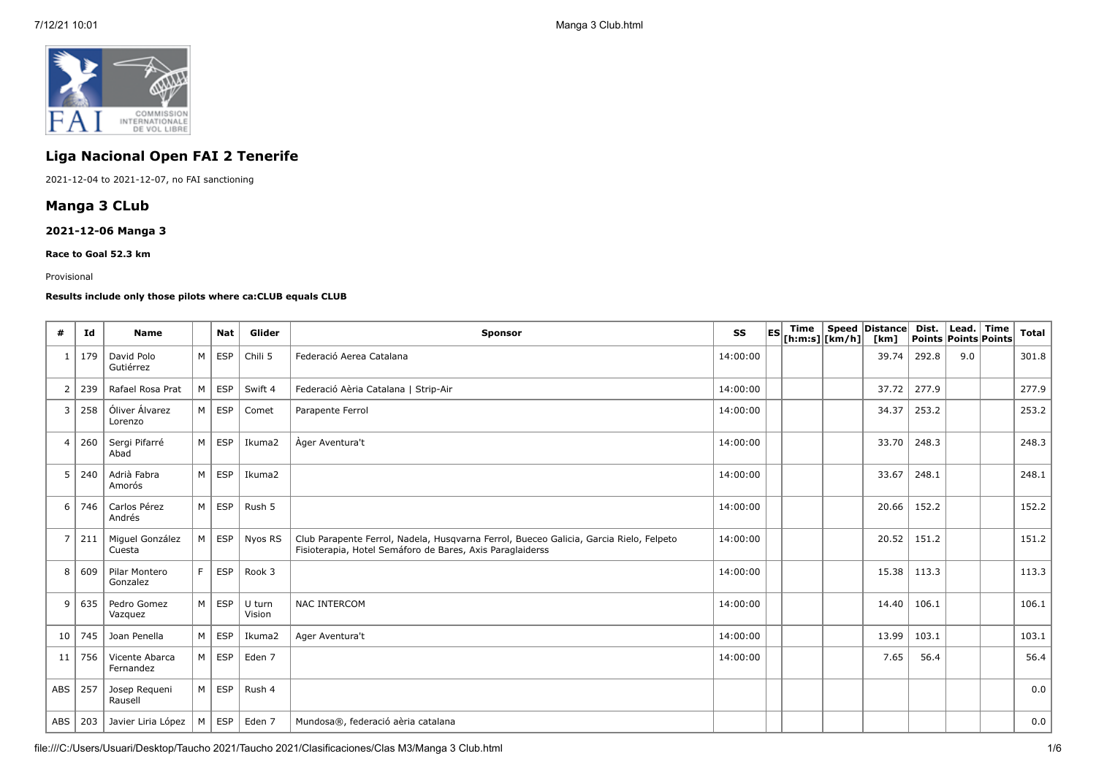

# **Liga Nacional Open FAI 2 Tenerife**

2021-12-04 to 2021-12-07, no FAI sanctioning

# **Manga 3 CLub**

## **2021-12-06 Manga 3**

**Race to Goal 52.3 km**

#### Provisional

## **Results include only those pilots where ca:CLUB equals CLUB**

| #   | Id            | <b>Name</b>                 |              | <b>Nat</b>    | Glider            | Sponsor                                                                                                                                             | SS       | <b>IESI</b> | Time<br>$ $ [h:m:s] $ $ [km/h] $ $ | Speed Distance<br>[km] | Dist.<br>Points Points Points | Lead. Time | Total |
|-----|---------------|-----------------------------|--------------|---------------|-------------------|-----------------------------------------------------------------------------------------------------------------------------------------------------|----------|-------------|------------------------------------|------------------------|-------------------------------|------------|-------|
|     | 179           | David Polo<br>Gutiérrez     | M            | <b>ESP</b>    | Chili 5           | Federació Aerea Catalana                                                                                                                            | 14:00:00 |             |                                    | 39.74                  | 292.8                         | 9.0        | 301.8 |
| 2   | 239           | Rafael Rosa Prat            | M            | <b>ESP</b>    | Swift 4           | Federació Aèria Catalana   Strip-Air                                                                                                                | 14:00:00 |             |                                    | 37.72                  | 277.9                         |            | 277.9 |
| 3   | 258           | Óliver Álvarez<br>Lorenzo   |              | $M \vert$ ESP | Comet             | Parapente Ferrol                                                                                                                                    | 14:00:00 |             |                                    | 34.37                  | 253.2                         |            | 253.2 |
| 4   | 260           | Sergi Pifarré<br>Abad       | M            | ESP           | Ikuma2            | Ager Aventura't                                                                                                                                     | 14:00:00 |             |                                    | 33.70                  | 248.3                         |            | 248.3 |
| 5   | 240           | Adrià Fabra<br>Amorós       | M            | <b>ESP</b>    | Ikuma2            |                                                                                                                                                     | 14:00:00 |             |                                    | 33.67                  | 248.1                         |            | 248.1 |
| 6   | 746           | Carlos Pérez<br>Andrés      | M            | ESP           | $\vert$ Rush 5    |                                                                                                                                                     | 14:00:00 |             |                                    | 20.66                  | 152.2                         |            | 152.2 |
| 7   | 211           | Miguel González<br>Cuesta   | M            |               | ESP   Nyos RS     | Club Parapente Ferrol, Nadela, Husqvarna Ferrol, Bueceo Galicia, Garcia Rielo, Felpeto<br>Fisioterapia, Hotel Semáforo de Bares, Axis Paraglaiderss | 14:00:00 |             |                                    | 20.52                  | 151.2                         |            | 151.2 |
| 8   | $ 609\rangle$ | Pilar Montero<br>Gonzalez   | F.           | <b>ESP</b>    | Rook 3            |                                                                                                                                                     | 14:00:00 |             |                                    | 15.38                  | 113.3                         |            | 113.3 |
| 9   | 635           | Pedro Gomez<br>Vazquez      |              | $M \vert$ ESP | U turn<br>Vision  | <b>NAC INTERCOM</b>                                                                                                                                 | 14:00:00 |             |                                    | 14.40                  | 106.1                         |            | 106.1 |
| 10  | 745           | Joan Penella                | M            | ESP           | Ikuma2            | Ager Aventura't                                                                                                                                     | 14:00:00 |             |                                    | 13.99                  | 103.1                         |            | 103.1 |
| 11  | 756           | Vicente Abarca<br>Fernandez |              | $M \vert$ ESP | Eden <sub>7</sub> |                                                                                                                                                     | 14:00:00 |             |                                    | 7.65                   | 56.4                          |            | 56.4  |
| ABS | 257           | Josep Requeni<br>Rausell    |              | $M \vert ESP$ | Rush 4            |                                                                                                                                                     |          |             |                                    |                        |                               |            | 0.0   |
|     | ABS 203       | Javier Liria López          | $^+$ M $\pm$ |               | $ESP$ Eden 7      | Mundosa®, federació aèria catalana                                                                                                                  |          |             |                                    |                        |                               |            | 0.0   |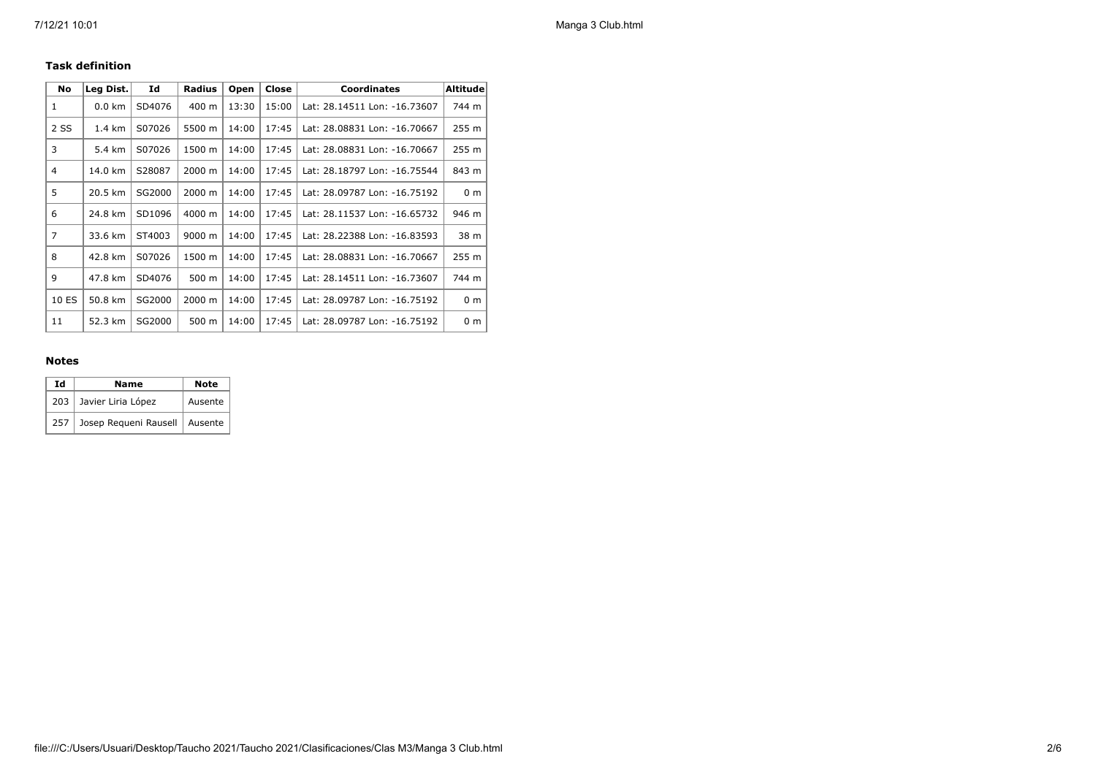## **Task definition**

| <b>No</b>      | Leg Dist. | Id     | <b>Radius</b> | Open  | Close | <b>Coordinates</b>           | <b>Altitude</b> |
|----------------|-----------|--------|---------------|-------|-------|------------------------------|-----------------|
| 1              | $0.0$ km  | SD4076 | 400 m         | 13:30 | 15:00 | Lat: 28.14511 Lon: -16.73607 | 744 m           |
| 2 SS           | 1.4 km    | S07026 | 5500 m        | 14:00 | 17:45 | Lat: 28.08831 Lon: -16.70667 | 255 m           |
| 3              | 5.4 km    | S07026 | 1500 m        | 14:00 | 17:45 | Lat: 28.08831 Lon: -16.70667 | 255 m           |
| 4              | 14.0 km   | S28087 | 2000 m        | 14:00 | 17:45 | Lat: 28.18797 Lon: -16.75544 | 843 m           |
| 5              | 20.5 km   | SG2000 | 2000 m        | 14:00 | 17:45 | Lat: 28.09787 Lon: -16.75192 | 0 <sub>m</sub>  |
| 6              | 24.8 km   | SD1096 | 4000 m        | 14:00 | 17:45 | Lat: 28.11537 Lon: -16.65732 | 946 m           |
| $\overline{7}$ | 33.6 km   | ST4003 | 9000 m        | 14:00 | 17:45 | Lat: 28.22388 Lon: -16.83593 | 38 m            |
| 8              | 42.8 km   | S07026 | 1500 m        | 14:00 | 17:45 | Lat: 28.08831 Lon: -16.70667 | 255 m           |
| 9              | 47.8 km   | SD4076 | 500 m         | 14:00 | 17:45 | Lat: 28.14511 Lon: -16.73607 | 744 m           |
| 10 ES          | 50.8 km   | SG2000 | 2000 m        | 14:00 | 17:45 | Lat: 28.09787 Lon: -16.75192 | 0 <sub>m</sub>  |
| 11             | 52.3 km   | SG2000 | 500 m         | 14:00 | 17:45 | Lat: 28.09787 Lon: -16.75192 | 0 <sub>m</sub>  |

#### **Notes**

| Ιd  | <b>Name</b>                     | <b>Note</b> |  |  |  |
|-----|---------------------------------|-------------|--|--|--|
|     | 203 Javier Liria López          | Ausente     |  |  |  |
| 257 | Josep Requeni Rausell   Ausente |             |  |  |  |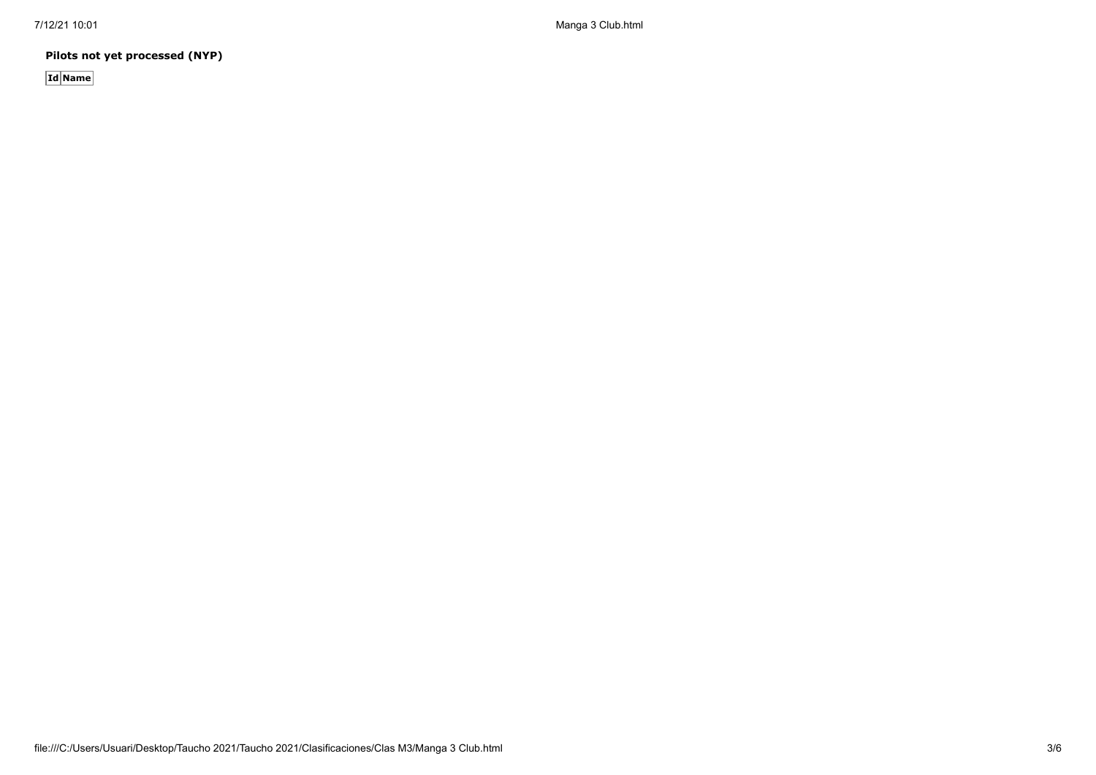7/12/21 10:01 Manga 3 Club.html

**Pilots not yet processed (NYP)**

**Id Name**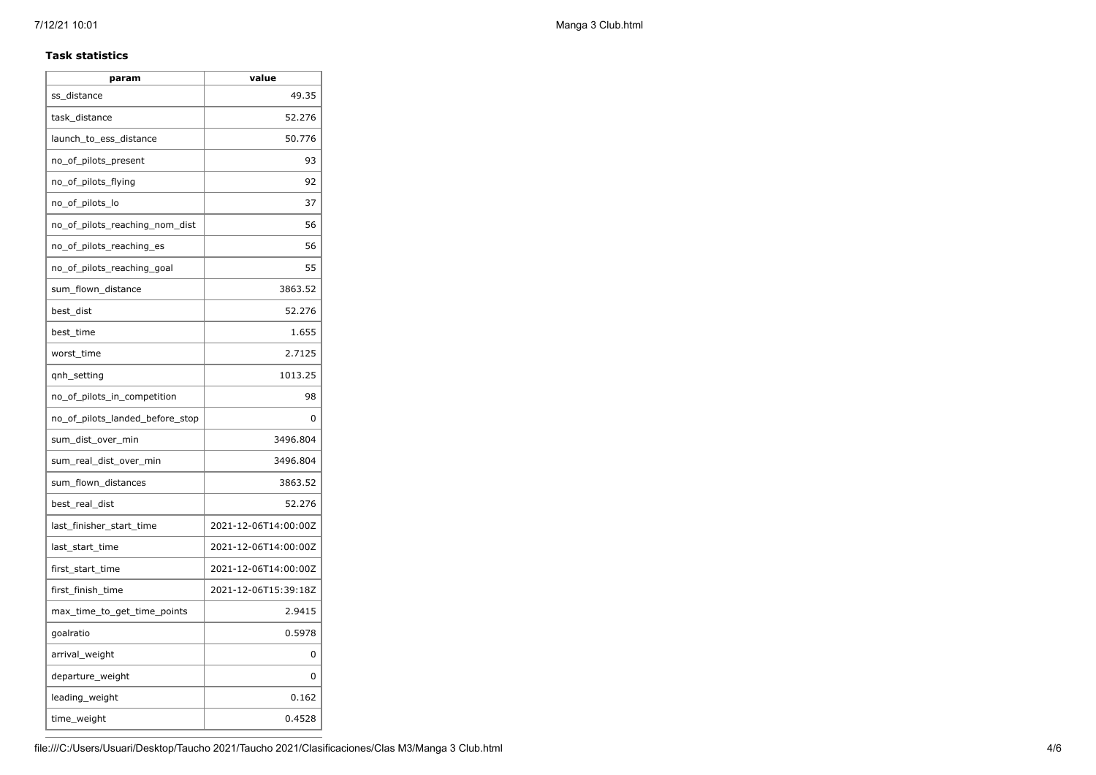#### **Task statistics**

| param                           | value                |
|---------------------------------|----------------------|
| ss distance                     | 49.35                |
| task distance                   | 52.276               |
| launch_to_ess_distance          | 50.776               |
| no_of_pilots_present            | 93                   |
| no_of_pilots_flying             | 92                   |
| no_of_pilots_lo                 | 37                   |
| no of pilots reaching nom dist  | 56                   |
| no of pilots reaching es        | 56                   |
| no_of_pilots_reaching_goal      | 55                   |
| sum_flown_distance              | 3863.52              |
| best dist                       | 52.276               |
| best time                       | 1.655                |
| worst_time                      | 2.7125               |
| qnh_setting                     | 1013.25              |
| no_of_pilots_in_competition     | 98                   |
| no of pilots landed before stop | 0                    |
| sum_dist_over_min               | 3496.804             |
| sum_real_dist_over_min          | 3496.804             |
| sum_flown_distances             | 3863.52              |
| best_real_dist                  | 52.276               |
| last_finisher_start_time        | 2021-12-06T14:00:00Z |
| last_start_time                 | 2021-12-06T14:00:00Z |
| first_start_time                | 2021-12-06T14:00:00Z |
| first_finish_time               | 2021-12-06T15:39:18Z |
| max_time_to_get_time_points     | 2.9415               |
| goalratio                       | 0.5978               |
| arrival_weight                  | 0                    |
| departure_weight                | $\Omega$             |
| leading_weight                  | 0.162                |
| time_weight                     | 0.4528               |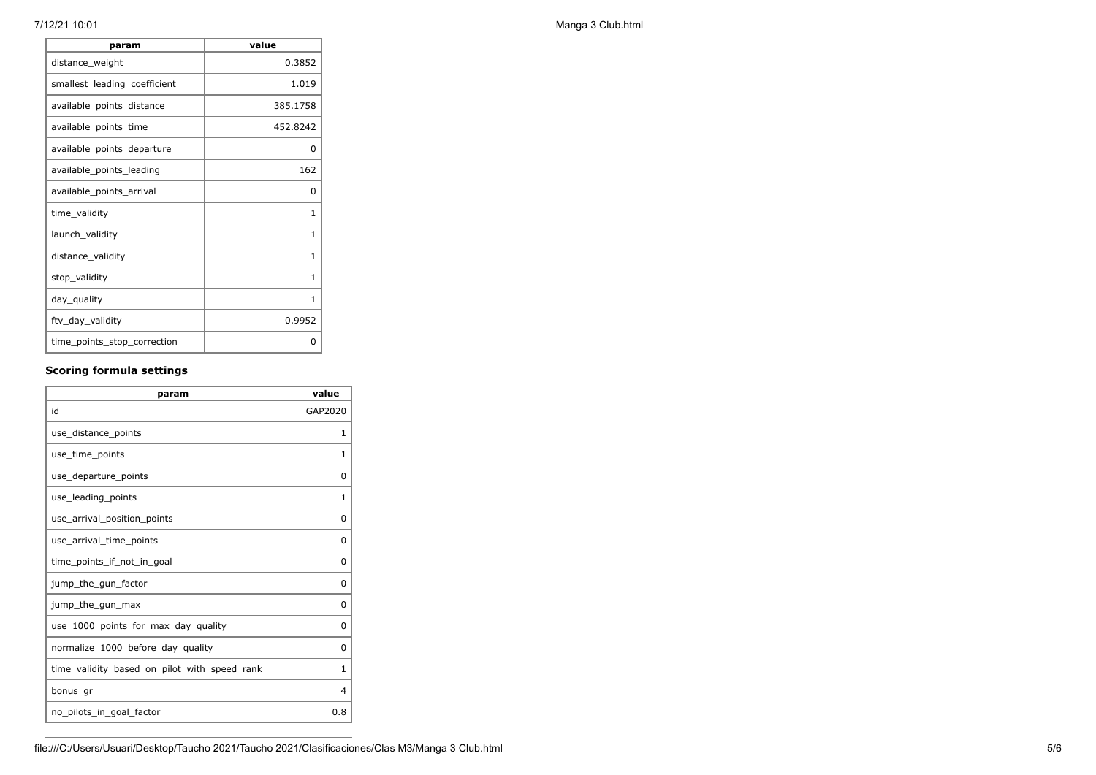| param                        | value    |
|------------------------------|----------|
| distance_weight              | 0.3852   |
| smallest_leading_coefficient | 1.019    |
| available_points_distance    | 385.1758 |
| available_points_time        | 452.8242 |
| available_points_departure   | 0        |
| available_points_leading     | 162      |
| available_points_arrival     | 0        |
| time_validity                | 1        |
| launch_validity              | 1        |
| distance_validity            | 1        |
| stop_validity                | 1        |
| day_quality                  | 1        |
| ftv_day_validity             | 0.9952   |
| time_points_stop_correction  | 0        |

## **Scoring formula settings**

| param                                        | value        |
|----------------------------------------------|--------------|
| id                                           | GAP2020      |
| use_distance_points                          | 1            |
| use time points                              | 1            |
| use_departure_points                         | 0            |
| use_leading_points                           | $\mathbf{1}$ |
| use arrival position points                  | 0            |
| use_arrival_time_points                      | 0            |
| time_points_if_not_in_goal                   | $\Omega$     |
| jump_the_gun_factor                          | $\Omega$     |
| jump_the_gun_max                             | 0            |
| use_1000_points_for_max_day_quality          | $\Omega$     |
| normalize_1000_before_day_quality            | $\Omega$     |
| time_validity_based_on_pilot_with_speed_rank | $\mathbf{1}$ |
| bonus gr                                     | 4            |
| no pilots in goal factor                     | 0.8          |